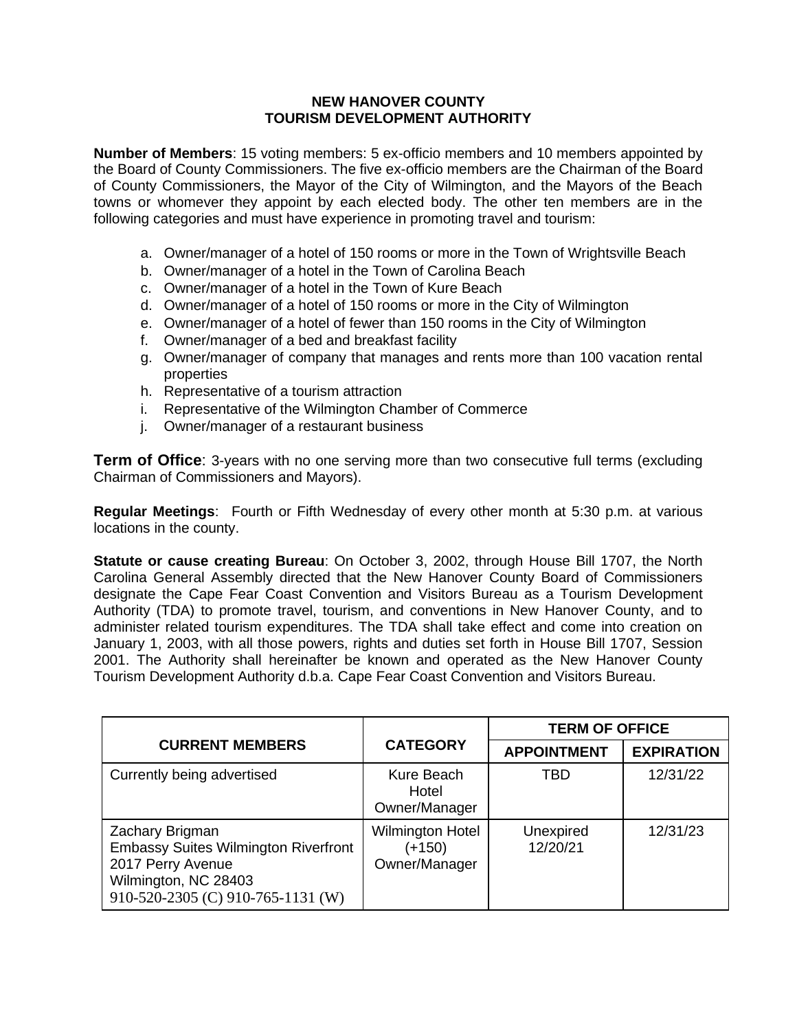## **NEW HANOVER COUNTY TOURISM DEVELOPMENT AUTHORITY**

**Number of Members**: 15 voting members: 5 ex-officio members and 10 members appointed by the Board of County Commissioners. The five ex-officio members are the Chairman of the Board of County Commissioners, the Mayor of the City of Wilmington, and the Mayors of the Beach towns or whomever they appoint by each elected body. The other ten members are in the following categories and must have experience in promoting travel and tourism:

- a. Owner/manager of a hotel of 150 rooms or more in the Town of Wrightsville Beach
- b. Owner/manager of a hotel in the Town of Carolina Beach
- c. Owner/manager of a hotel in the Town of Kure Beach
- d. Owner/manager of a hotel of 150 rooms or more in the City of Wilmington
- e. Owner/manager of a hotel of fewer than 150 rooms in the City of Wilmington
- f. Owner/manager of a bed and breakfast facility
- g. Owner/manager of company that manages and rents more than 100 vacation rental properties
- h. Representative of a tourism attraction
- i. Representative of the Wilmington Chamber of Commerce
- j. Owner/manager of a restaurant business

**Term of Office:** 3-years with no one serving more than two consecutive full terms (excluding Chairman of Commissioners and Mayors).

**Regular Meetings**: Fourth or Fifth Wednesday of every other month at 5:30 p.m. at various locations in the county.

**Statute or cause creating Bureau**: On October 3, 2002, through House Bill 1707, the North Carolina General Assembly directed that the New Hanover County Board of Commissioners designate the Cape Fear Coast Convention and Visitors Bureau as a Tourism Development Authority (TDA) to promote travel, tourism, and conventions in New Hanover County, and to administer related tourism expenditures. The TDA shall take effect and come into creation on January 1, 2003, with all those powers, rights and duties set forth in House Bill 1707, Session 2001. The Authority shall hereinafter be known and operated as the New Hanover County Tourism Development Authority d.b.a. Cape Fear Coast Convention and Visitors Bureau.

|                                                                                                                                                  |                                                    | <b>TERM OF OFFICE</b> |                   |  |
|--------------------------------------------------------------------------------------------------------------------------------------------------|----------------------------------------------------|-----------------------|-------------------|--|
| <b>CURRENT MEMBERS</b>                                                                                                                           | <b>CATEGORY</b>                                    | <b>APPOINTMENT</b>    | <b>EXPIRATION</b> |  |
| Currently being advertised                                                                                                                       | Kure Beach<br>Hotel<br>Owner/Manager               | TBD                   | 12/31/22          |  |
| Zachary Brigman<br><b>Embassy Suites Wilmington Riverfront</b><br>2017 Perry Avenue<br>Wilmington, NC 28403<br>910-520-2305 (C) 910-765-1131 (W) | <b>Wilmington Hotel</b><br>(+150)<br>Owner/Manager | Unexpired<br>12/20/21 | 12/31/23          |  |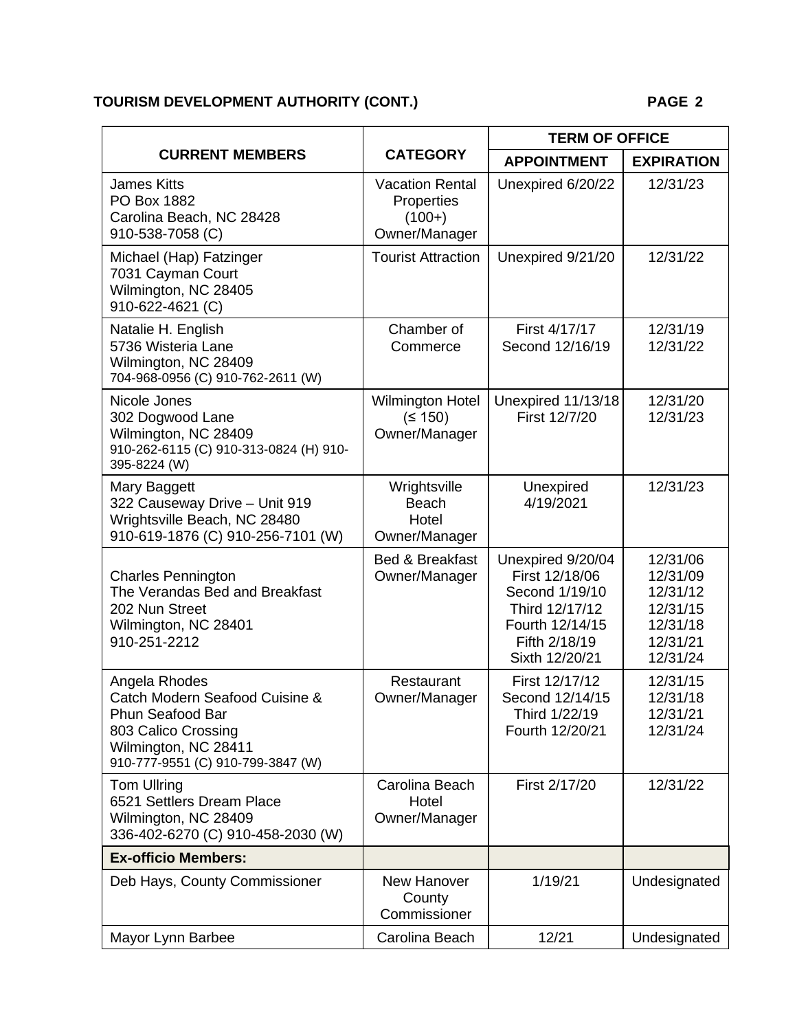# **TOURISM DEVELOPMENT AUTHORITY (CONT.) PAGE 2**

| <b>CURRENT MEMBERS</b>                                                                                                                                         | <b>CATEGORY</b>                                                   | <b>TERM OF OFFICE</b>                                                                                                         |                                                                                  |
|----------------------------------------------------------------------------------------------------------------------------------------------------------------|-------------------------------------------------------------------|-------------------------------------------------------------------------------------------------------------------------------|----------------------------------------------------------------------------------|
|                                                                                                                                                                |                                                                   | <b>APPOINTMENT</b>                                                                                                            | <b>EXPIRATION</b>                                                                |
| <b>James Kitts</b><br>PO Box 1882<br>Carolina Beach, NC 28428<br>910-538-7058 (C)                                                                              | <b>Vacation Rental</b><br>Properties<br>$(100+)$<br>Owner/Manager | Unexpired 6/20/22                                                                                                             | 12/31/23                                                                         |
| Michael (Hap) Fatzinger<br>7031 Cayman Court<br>Wilmington, NC 28405<br>910-622-4621 (C)                                                                       | <b>Tourist Attraction</b>                                         | Unexpired 9/21/20                                                                                                             | 12/31/22                                                                         |
| Natalie H. English<br>5736 Wisteria Lane<br>Wilmington, NC 28409<br>704-968-0956 (C) 910-762-2611 (W)                                                          | Chamber of<br>Commerce                                            | First 4/17/17<br>Second 12/16/19                                                                                              | 12/31/19<br>12/31/22                                                             |
| Nicole Jones<br>302 Dogwood Lane<br>Wilmington, NC 28409<br>910-262-6115 (C) 910-313-0824 (H) 910-<br>395-8224 (W)                                             | <b>Wilmington Hotel</b><br>(5150)<br>Owner/Manager                | Unexpired 11/13/18<br>First 12/7/20                                                                                           | 12/31/20<br>12/31/23                                                             |
| Mary Baggett<br>322 Causeway Drive - Unit 919<br>Wrightsville Beach, NC 28480<br>910-619-1876 (C) 910-256-7101 (W)                                             | Wrightsville<br>Beach<br>Hotel<br>Owner/Manager                   | Unexpired<br>4/19/2021                                                                                                        | 12/31/23                                                                         |
| <b>Charles Pennington</b><br>The Verandas Bed and Breakfast<br>202 Nun Street<br>Wilmington, NC 28401<br>910-251-2212                                          | <b>Bed &amp; Breakfast</b><br>Owner/Manager                       | Unexpired 9/20/04<br>First 12/18/06<br>Second 1/19/10<br>Third 12/17/12<br>Fourth 12/14/15<br>Fifth 2/18/19<br>Sixth 12/20/21 | 12/31/06<br>12/31/09<br>12/31/12<br>12/31/15<br>12/31/18<br>12/31/21<br>12/31/24 |
| Angela Rhodes<br>Catch Modern Seafood Cuisine &<br><b>Phun Seafood Bar</b><br>803 Calico Crossing<br>Wilmington, NC 28411<br>910-777-9551 (C) 910-799-3847 (W) | Restaurant<br>Owner/Manager                                       | First 12/17/12<br>Second 12/14/15<br>Third 1/22/19<br>Fourth 12/20/21                                                         | 12/31/15<br>12/31/18<br>12/31/21<br>12/31/24                                     |
| <b>Tom Ullring</b><br>6521 Settlers Dream Place<br>Wilmington, NC 28409<br>336-402-6270 (C) 910-458-2030 (W)                                                   | Carolina Beach<br>Hotel<br>Owner/Manager                          | First 2/17/20                                                                                                                 | 12/31/22                                                                         |
| <b>Ex-officio Members:</b>                                                                                                                                     |                                                                   |                                                                                                                               |                                                                                  |
| Deb Hays, County Commissioner                                                                                                                                  | New Hanover<br>County<br>Commissioner                             | 1/19/21                                                                                                                       | Undesignated                                                                     |
| Mayor Lynn Barbee                                                                                                                                              | Carolina Beach                                                    | 12/21                                                                                                                         | Undesignated                                                                     |